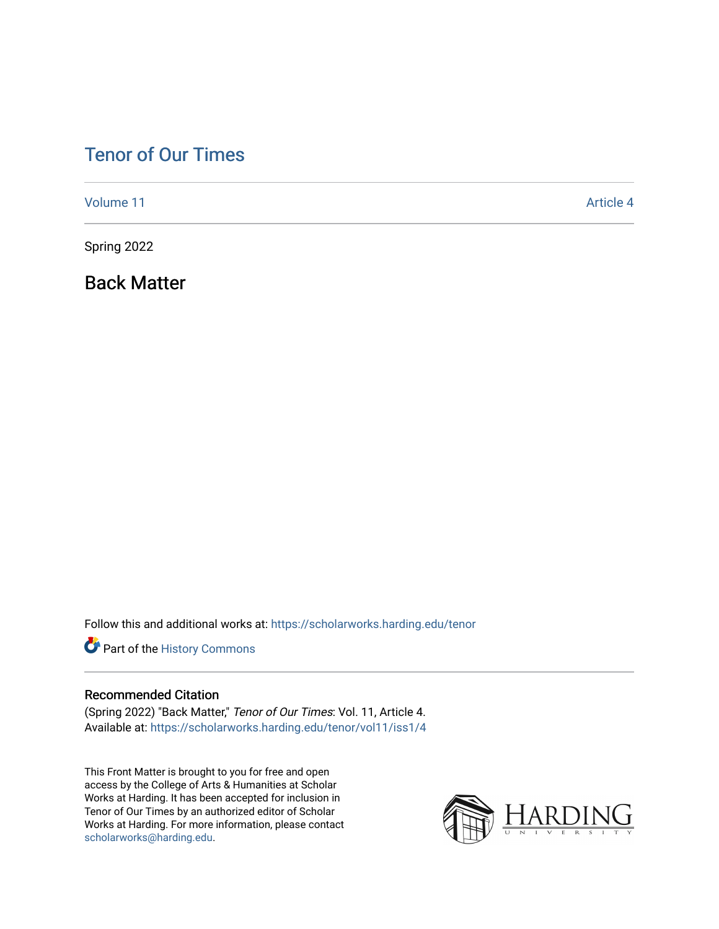### [Tenor of Our Times](https://scholarworks.harding.edu/tenor)

[Volume 11](https://scholarworks.harding.edu/tenor/vol11) Article 4

Spring 2022

Back Matter

Follow this and additional works at: [https://scholarworks.harding.edu/tenor](https://scholarworks.harding.edu/tenor?utm_source=scholarworks.harding.edu%2Ftenor%2Fvol11%2Fiss1%2F4&utm_medium=PDF&utm_campaign=PDFCoverPages)

Part of the [History Commons](http://network.bepress.com/hgg/discipline/489?utm_source=scholarworks.harding.edu%2Ftenor%2Fvol11%2Fiss1%2F4&utm_medium=PDF&utm_campaign=PDFCoverPages) 

#### Recommended Citation

(Spring 2022) "Back Matter," Tenor of Our Times: Vol. 11, Article 4. Available at: [https://scholarworks.harding.edu/tenor/vol11/iss1/4](https://scholarworks.harding.edu/tenor/vol11/iss1/4?utm_source=scholarworks.harding.edu%2Ftenor%2Fvol11%2Fiss1%2F4&utm_medium=PDF&utm_campaign=PDFCoverPages)

This Front Matter is brought to you for free and open access by the College of Arts & Humanities at Scholar Works at Harding. It has been accepted for inclusion in Tenor of Our Times by an authorized editor of Scholar Works at Harding. For more information, please contact [scholarworks@harding.edu](mailto:scholarworks@harding.edu).

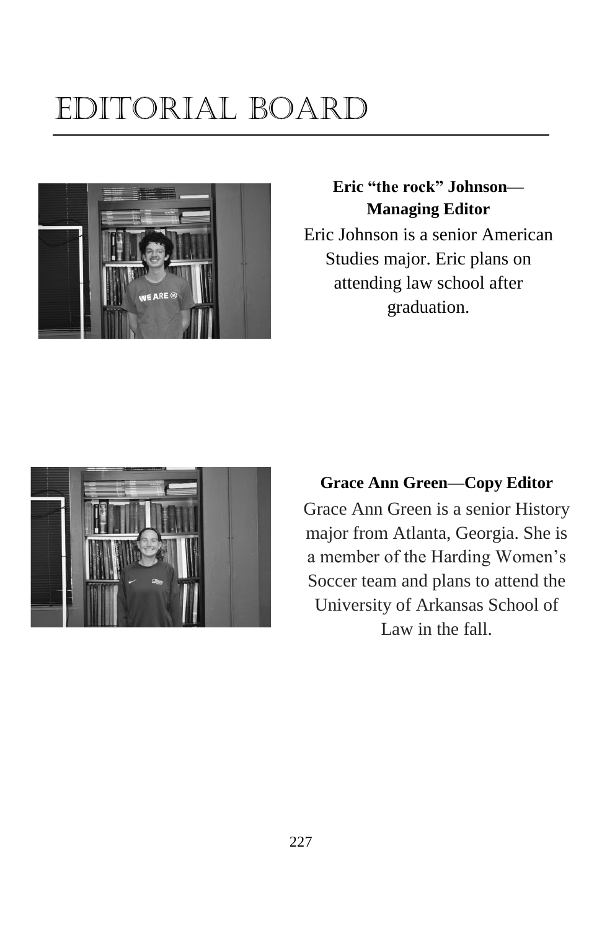## Editorial Board



#### **Eric "the rock" Johnson— Managing Editor**

Eric Johnson is a senior American Studies major. Eric plans on attending law school after graduation.



**Grace Ann Green—Copy Editor** Grace Ann Green is a senior History major from Atlanta, Georgia. She is a member of the Harding Women's Soccer team and plans to attend the University of Arkansas School of Law in the fall.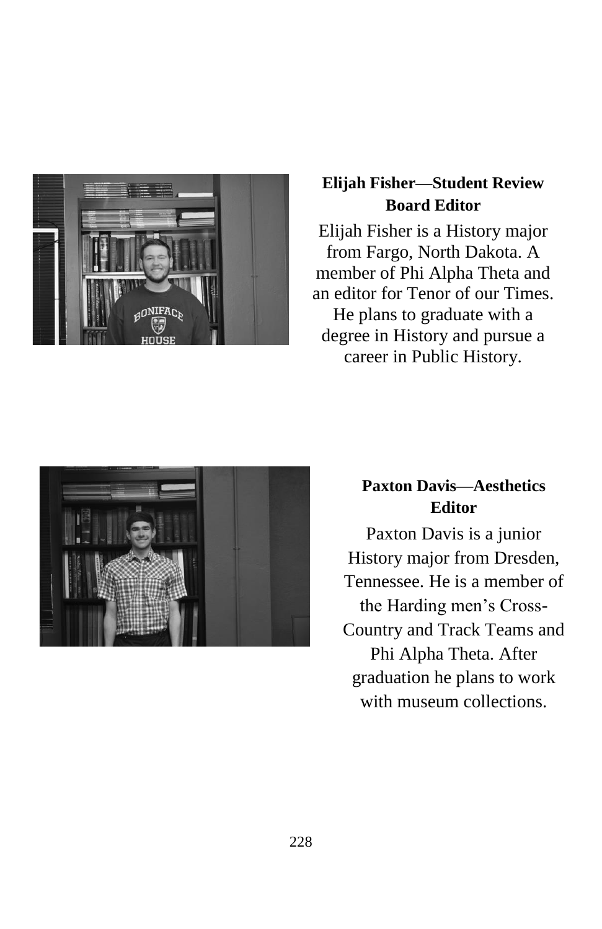

#### **Elijah Fisher—Student Review Board Editor**

Elijah Fisher is a History major from Fargo, North Dakota. A member of Phi Alpha Theta and an editor for Tenor of our Times. He plans to graduate with a degree in History and pursue a career in Public History.



#### **Paxton Davis—Aesthetics Editor**

Paxton Davis is a junior History major from Dresden, Tennessee. He is a member of the Harding men's Cross-Country and Track Teams and Phi Alpha Theta. After graduation he plans to work with museum collections.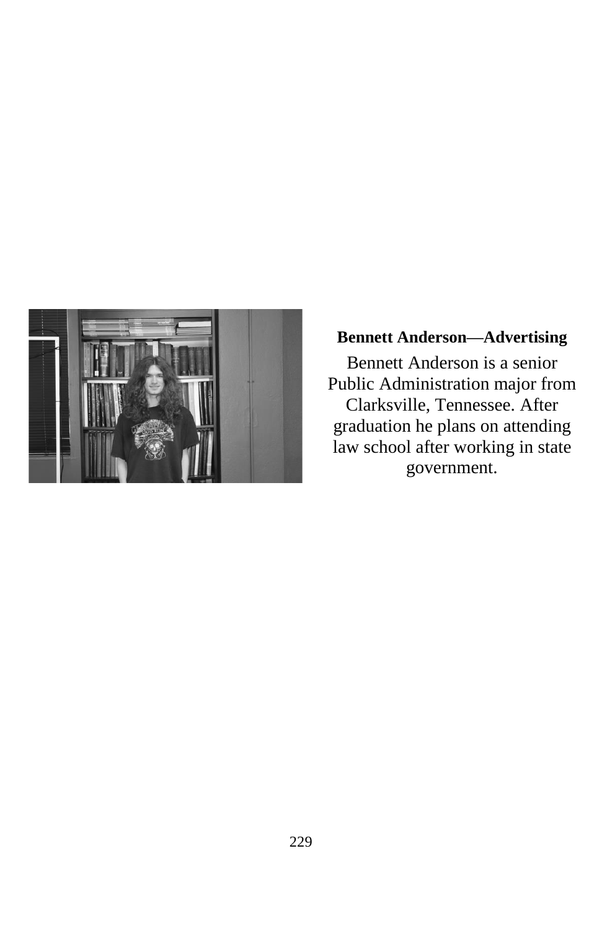

#### **Bennett Anderson—Advertising**

Bennett Anderson is a senior Public Administration major from Clarksville, Tennessee. After graduation he plans on attending law school after working in state government.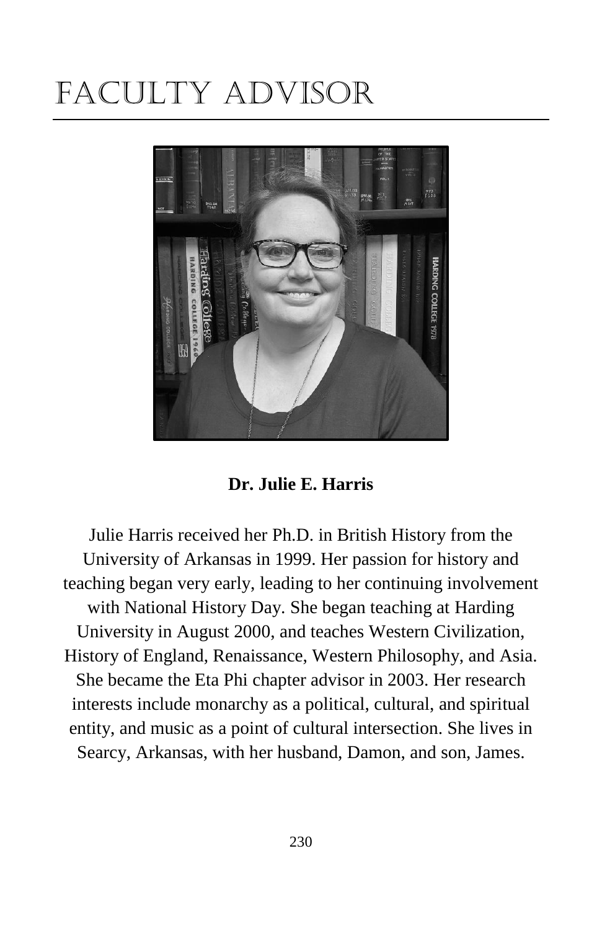## Faculty Advisor



**Dr. Julie E. Harris**

Julie Harris received her Ph.D. in British History from the University of Arkansas in 1999. Her passion for history and teaching began very early, leading to her continuing involvement with National History Day. She began teaching at Harding University in August 2000, and teaches Western Civilization, History of England, Renaissance, Western Philosophy, and Asia. She became the Eta Phi chapter advisor in 2003. Her research interests include monarchy as a political, cultural, and spiritual entity, and music as a point of cultural intersection. She lives in Searcy, Arkansas, with her husband, Damon, and son, James.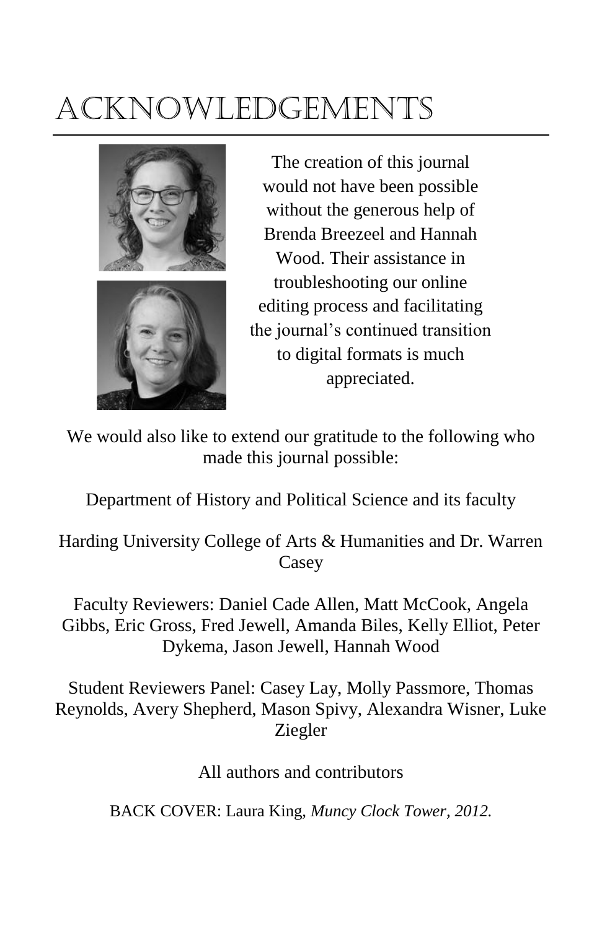# Acknowledgements



The creation of this journal would not have been possible without the generous help of Brenda Breezeel and Hannah Wood. Their assistance in troubleshooting our online editing process and facilitating the journal's continued transition to digital formats is much appreciated.

We would also like to extend our gratitude to the following who made this journal possible:

Department of History and Political Science and its faculty

Harding University College of Arts & Humanities and Dr. Warren **Casey** 

Faculty Reviewers: Daniel Cade Allen, Matt McCook, Angela Gibbs, Eric Gross, Fred Jewell, Amanda Biles, Kelly Elliot, Peter Dykema, Jason Jewell, Hannah Wood

Student Reviewers Panel: Casey Lay, Molly Passmore, Thomas Reynolds, Avery Shepherd, Mason Spivy, Alexandra Wisner, Luke Ziegler

All authors and contributors

BACK COVER: Laura King, *Muncy Clock Tower, 2012.*